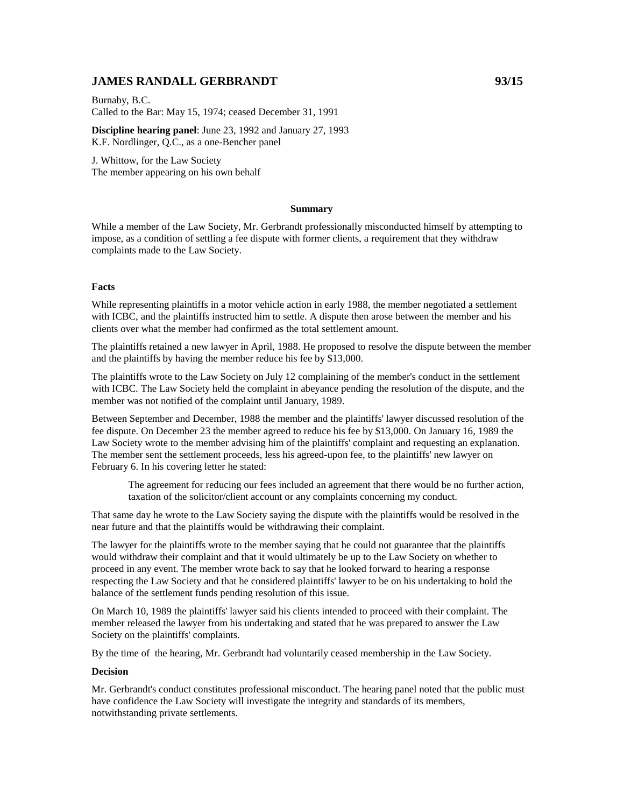## **JAMES RANDALL GERBRANDT 93/15**

Burnaby, B.C. Called to the Bar: May 15, 1974; ceased December 31, 1991

**Discipline hearing panel**: June 23, 1992 and January 27, 1993 K.F. Nordlinger, Q.C., as a one-Bencher panel

J. Whittow, for the Law Society The member appearing on his own behalf

#### **Summary**

While a member of the Law Society, Mr. Gerbrandt professionally misconducted himself by attempting to impose, as a condition of settling a fee dispute with former clients, a requirement that they withdraw complaints made to the Law Society.

### **Facts**

While representing plaintiffs in a motor vehicle action in early 1988, the member negotiated a settlement with ICBC, and the plaintiffs instructed him to settle. A dispute then arose between the member and his clients over what the member had confirmed as the total settlement amount.

The plaintiffs retained a new lawyer in April, 1988. He proposed to resolve the dispute between the member and the plaintiffs by having the member reduce his fee by \$13,000.

The plaintiffs wrote to the Law Society on July 12 complaining of the member's conduct in the settlement with ICBC. The Law Society held the complaint in abeyance pending the resolution of the dispute, and the member was not notified of the complaint until January, 1989.

Between September and December, 1988 the member and the plaintiffs' lawyer discussed resolution of the fee dispute. On December 23 the member agreed to reduce his fee by \$13,000. On January 16, 1989 the Law Society wrote to the member advising him of the plaintiffs' complaint and requesting an explanation. The member sent the settlement proceeds, less his agreed-upon fee, to the plaintiffs' new lawyer on February 6. In his covering letter he stated:

The agreement for reducing our fees included an agreement that there would be no further action, taxation of the solicitor/client account or any complaints concerning my conduct.

That same day he wrote to the Law Society saying the dispute with the plaintiffs would be resolved in the near future and that the plaintiffs would be withdrawing their complaint.

The lawyer for the plaintiffs wrote to the member saying that he could not guarantee that the plaintiffs would withdraw their complaint and that it would ultimately be up to the Law Society on whether to proceed in any event. The member wrote back to say that he looked forward to hearing a response respecting the Law Society and that he considered plaintiffs' lawyer to be on his undertaking to hold the balance of the settlement funds pending resolution of this issue.

On March 10, 1989 the plaintiffs' lawyer said his clients intended to proceed with their complaint. The member released the lawyer from his undertaking and stated that he was prepared to answer the Law Society on the plaintiffs' complaints.

By the time of the hearing, Mr. Gerbrandt had voluntarily ceased membership in the Law Society.

### **Decision**

Mr. Gerbrandt's conduct constitutes professional misconduct. The hearing panel noted that the public must have confidence the Law Society will investigate the integrity and standards of its members, notwithstanding private settlements.